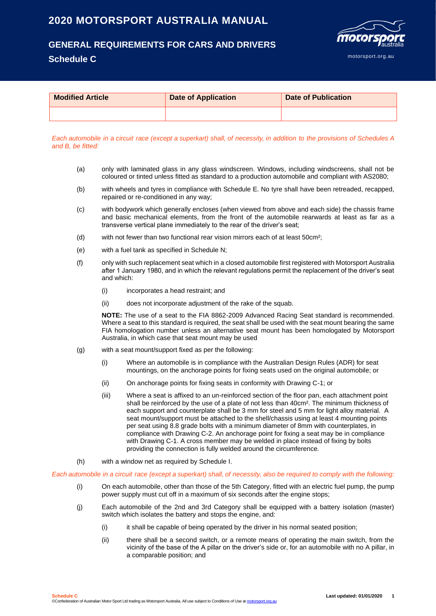# **2020 MOTORSPORT AUSTRALIA MANUAL**

## **GENERAL REQUIREMENTS FOR CARS AND DRIVERS**

### **Schedule C**



| <b>Modified Article</b> | <b>Date of Application</b> | <b>Date of Publication</b> |
|-------------------------|----------------------------|----------------------------|
|                         |                            |                            |

Each automobile in a circuit race (except a superkart) shall, of necessity, in addition to the provisions of Schedules A *and B, be fitted:*

- (a) only with laminated glass in any glass windscreen. Windows, including windscreens, shall not be coloured or tinted unless fitted as standard to a production automobile and compliant with AS2080;
- (b) with wheels and tyres in compliance with Schedule E. No tyre shall have been retreaded, recapped, repaired or re-conditioned in any way;
- (c) with bodywork which generally encloses (when viewed from above and each side) the chassis frame and basic mechanical elements, from the front of the automobile rearwards at least as far as a transverse vertical plane immediately to the rear of the driver's seat;
- (d) with not fewer than two functional rear vision mirrors each of at least 50cm²;
- (e) with a fuel tank as specified in Schedule N;
- (f) only with such replacement seat which in a closed automobile first registered with Motorsport Australia after 1 January 1980, and in which the relevant regulations permit the replacement of the driver's seat and which:
	- (i) incorporates a head restraint; and
	- (ii) does not incorporate adjustment of the rake of the squab.

**NOTE:** The use of a seat to the FIA 8862-2009 Advanced Racing Seat standard is recommended. Where a seat to this standard is required, the seat shall be used with the seat mount bearing the same FIA homologation number unless an alternative seat mount has been homologated by Motorsport Australia, in which case that seat mount may be used

- (g) with a seat mount/support fixed as per the following:
	- (i) Where an automobile is in compliance with the Australian Design Rules (ADR) for seat mountings, on the anchorage points for fixing seats used on the original automobile; or
	- (ii) On anchorage points for fixing seats in conformity with Drawing C-1; or
	- (iii) Where a seat is affixed to an un-reinforced section of the floor pan, each attachment point shall be reinforced by the use of a plate of not less than 40cm². The minimum thickness of each support and counterplate shall be 3 mm for steel and 5 mm for light alloy material. A seat mount/support must be attached to the shell/chassis using at least 4 mounting points per seat using 8.8 grade bolts with a minimum diameter of 8mm with counterplates, in compliance with Drawing C-2. An anchorage point for fixing a seat may be in compliance with Drawing C-1. A cross member may be welded in place instead of fixing by bolts providing the connection is fully welded around the circumference.
- (h) with a window net as required by Schedule I.

*Each automobile in a circuit race (except a superkart) shall, of necessity, also be required to comply with the following:*

- (i) On each automobile, other than those of the 5th Category, fitted with an electric fuel pump, the pump power supply must cut off in a maximum of six seconds after the engine stops;
- (j) Each automobile of the 2nd and 3rd Category shall be equipped with a battery isolation (master) switch which isolates the battery and stops the engine, and:
	- (i) it shall be capable of being operated by the driver in his normal seated position;
	- (ii) there shall be a second switch, or a remote means of operating the main switch, from the vicinity of the base of the A pillar on the driver's side or, for an automobile with no A pillar, in a comparable position; and

**Schedule C Last updated: 01/01/2020 1** ©Confederation of Australian Motor Sport Ltd trading as Motorsport Australia. All use subject to Conditions of Use a[t motorsport.org.au](http://www.motorsport.org.au/)